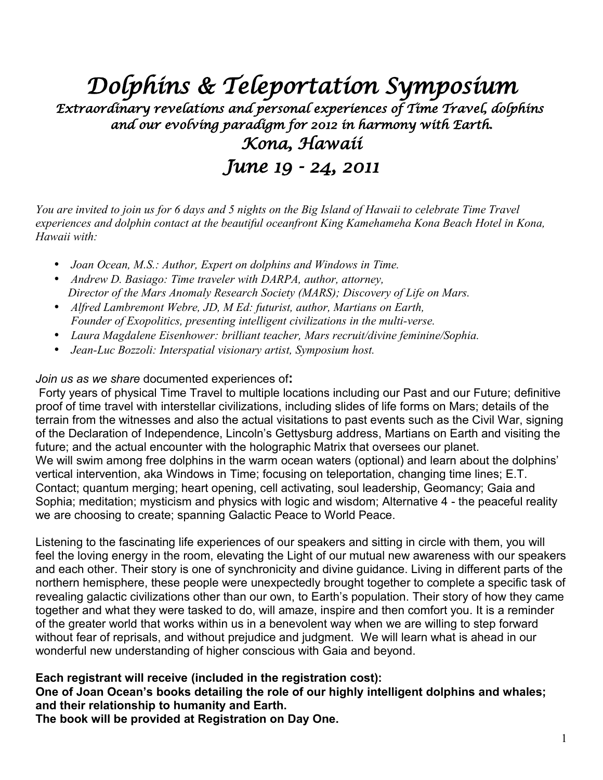*Dolphins & Teleportation Symposium*

*Extraordinary revelations and personal experiences of Time Travel, dolphins and our evolving paradigm for 2012 in harmony with Earth. Kona, Hawaii*

*June 19 - 24, 2011*

*You are invited to join us for 6 days and 5 nights on the Big Island of Hawaii to celebrate Time Travel experiences and dolphin contact at the beautiful oceanfront King Kamehameha Kona Beach Hotel in Kona, Hawaii with:*

- *Joan Ocean, M.S.: Author, Expert on dolphins and Windows in Time.*
- *Andrew D. Basiago: Time traveler with DARPA, author, attorney, Director of the Mars Anomaly Research Society (MARS); Discovery of Life on Mars.*
- *Alfred Lambremont Webre, JD, M Ed: futurist, author, Martians on Earth, Founder of Exopolitics, presenting intelligent civilizations in the multi-verse.*
- *Laura Magdalene Eisenhower: brilliant teacher, Mars recruit/divine feminine/Sophia.*
- *Jean-Luc Bozzoli: Interspatial visionary artist, Symposium host.*

#### *Join us as we share* documented experiences of**:**

 Forty years of physical Time Travel to multiple locations including our Past and our Future; definitive proof of time travel with interstellar civilizations, including slides of life forms on Mars; details of the terrain from the witnesses and also the actual visitations to past events such as the Civil War, signing of the Declaration of Independence, Lincoln's Gettysburg address, Martians on Earth and visiting the future; and the actual encounter with the holographic Matrix that oversees our planet. We will swim among free dolphins in the warm ocean waters (optional) and learn about the dolphins' vertical intervention, aka Windows in Time; focusing on teleportation, changing time lines; E.T. Contact; quantum merging; heart opening, cell activating, soul leadership, Geomancy; Gaia and Sophia; meditation; mysticism and physics with logic and wisdom; Alternative 4 - the peaceful reality we are choosing to create; spanning Galactic Peace to World Peace.

Listening to the fascinating life experiences of our speakers and sitting in circle with them, you will feel the loving energy in the room, elevating the Light of our mutual new awareness with our speakers and each other. Their story is one of synchronicity and divine guidance. Living in different parts of the northern hemisphere, these people were unexpectedly brought together to complete a specific task of revealing galactic civilizations other than our own, to Earth's population. Their story of how they came together and what they were tasked to do, will amaze, inspire and then comfort you. It is a reminder of the greater world that works within us in a benevolent way when we are willing to step forward without fear of reprisals, and without prejudice and judgment. We will learn what is ahead in our wonderful new understanding of higher conscious with Gaia and beyond.

#### **Each registrant will receive (included in the registration cost):**

**One of Joan Ocean's books detailing the role of our highly intelligent dolphins and whales; and their relationship to humanity and Earth.**

**The book will be provided at Registration on Day One.**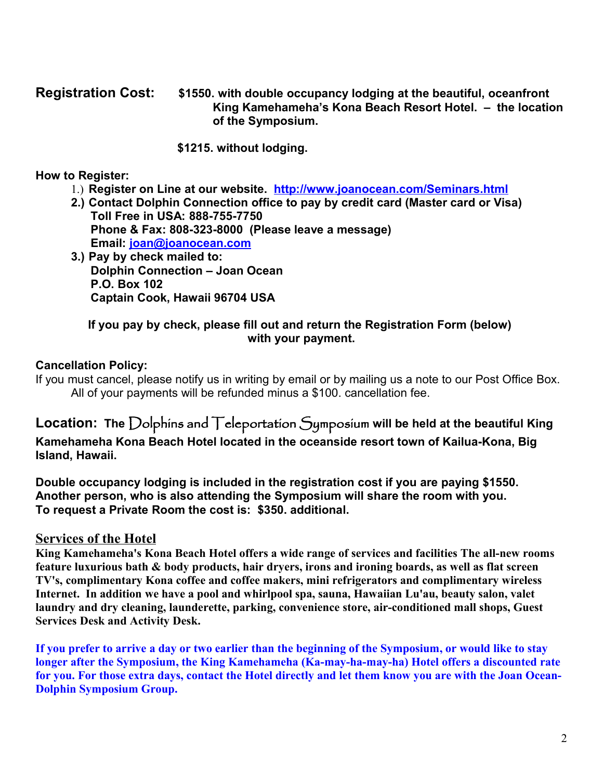#### **Registration Cost: \$1550. with double occupancy lodging at the beautiful, oceanfront King Kamehameha's Kona Beach Resort Hotel. – the location of the Symposium.**

#### **\$1215. without lodging.**

### **How to Register:**

- 1.) **Register on Line at our website. <http://www.joanocean.com/Seminars.html>**
- **2.) Contact Dolphin Connection office to pay by credit card (Master card or Visa) Toll Free in USA: 888-755-7750 Phone & Fax: 808-323-8000 (Please leave a message) Email: [joan@joanocean.com](mailto:joan@joanocean.com)**
- **3.) Pay by check mailed to: Dolphin Connection – Joan Ocean P.O. Box 102 Captain Cook, Hawaii 96704 USA**

## **If you pay by check, please fill out and return the Registration Form (below) with your payment.**

## **Cancellation Policy:**

If you must cancel, please notify us in writing by email or by mailing us a note to our Post Office Box. All of your payments will be refunded minus a \$100. cancellation fee.

## **Location: The** Dolphins and Teleportation Symposium **will be held at the beautiful King Kamehameha Kona Beach Hotel located in the oceanside resort town of Kailua-Kona, Big Island, Hawaii.**

**Double occupancy lodging is included in the registration cost if you are paying \$1550. Another person, who is also attending the Symposium will share the room with you. To request a Private Room the cost is: \$350. additional.**

## **Services of the Hotel**

**King Kamehameha's Kona Beach Hotel offers a wide range of services and facilities The all-new rooms feature luxurious bath & body products, hair dryers, irons and ironing boards, as well as flat screen TV's, complimentary Kona coffee and coffee makers, mini refrigerators and complimentary wireless Internet. In addition we have a pool and whirlpool spa, sauna, Hawaiian Lu'au, beauty salon, valet laundry and dry cleaning, launderette, parking, convenience store, air-conditioned mall shops, Guest Services Desk and Activity Desk.**

**If you prefer to arrive a day or two earlier than the beginning of the Symposium, or would like to stay longer after the Symposium, the King Kamehameha (Ka-may-ha-may-ha) Hotel offers a discounted rate for you. For those extra days, contact the Hotel directly and let them know you are with the Joan Ocean-Dolphin Symposium Group.**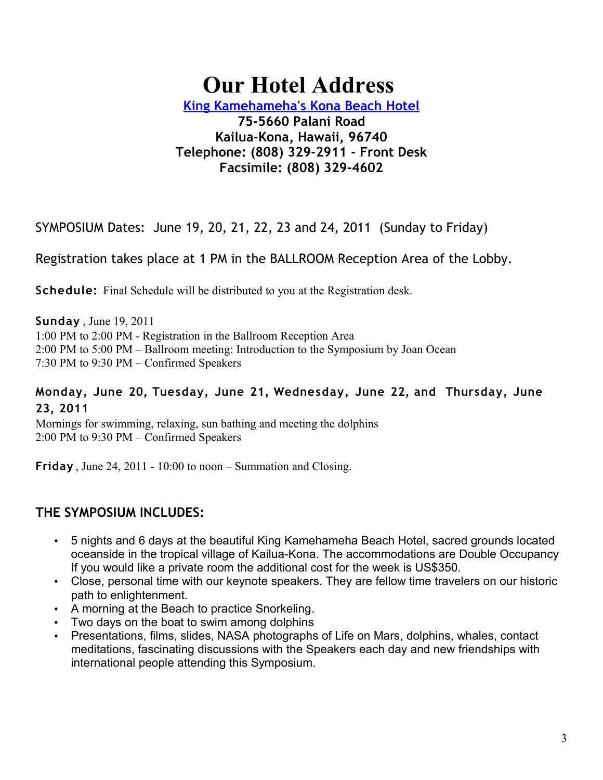# **Our Hotel Address**

**[King Kamehameha's Kona Beach Hotel](http://www.joanocean.com/SYMP011/hotel.html)**

## **75-5660 Palani Road Kailua-Kona, Hawaii, 96740 Telephone: (808) 329-2911 - Front Desk Facsimile: (808) 329-4602**

SYMPOSIUM Dates: June 19, 20, 21, 22, 23 and 24, 2011 (Sunday to Friday)

Registration takes place at 1 PM in the BALLROOM Reception Area of the Lobby.

**Schedule:** Final Schedule will be distributed to you at the Registration desk.

**Sunday** , June 19, 2011 1:00 PM to 2:00 PM - Registration in the Ballroom Reception Area 2:00 PM to 5:00 PM – Ballroom meeting: Introduction to the Symposium by Joan Ocean 7:30 PM to 9:30 PM – Confirmed Speakers

## **Monday, June 20, Tuesday, June 21, Wednesday, June 22, and Thursday, June 23, 2011**

Mornings for swimming, relaxing, sun bathing and meeting the dolphins 2:00 PM to 9:30 PM – Confirmed Speakers

**Friday** , June 24, 2011 - 10:00 to noon – Summation and Closing.

## **THE SYMPOSIUM INCLUDES:**

- 5 nights and 6 days at the beautiful King Kamehameha Beach Hotel, sacred grounds located oceanside in the tropical village of Kailua-Kona. The accommodations are Double Occupancy If you would like a private room the additional cost for the week is US\$350.
- Close, personal time with our keynote speakers. They are fellow time travelers on our historic path to enlightenment.
- A morning at the Beach to practice Snorkeling.
- Two days on the boat to swim among dolphins
- Presentations, films, slides, NASA photographs of Life on Mars, dolphins, whales, contact meditations, fascinating discussions with the Speakers each day and new friendships with international people attending this Symposium.